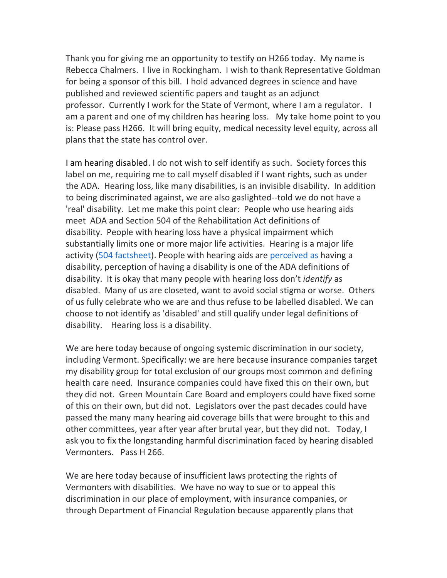Thank you for giving me an opportunity to testify on H266 today. My name is Rebecca Chalmers. I live in Rockingham. I wish to thank Representative Goldman for being a sponsor of this bill. I hold advanced degrees in science and have published and reviewed scientific papers and taught as an adjunct professor. Currently I work for the State of Vermont, where I am a regulator. I am a parent and one of my children has hearing loss. My take home point to you is: Please pass H266. It will bring equity, medical necessity level equity, across all plans that the state has control over.

I am hearing disabled. I do not wish to self identify as such. Society forces this label on me, requiring me to call myself disabled if I want rights, such as under the ADA. Hearing loss, like many disabilities, is an invisible disability. In addition to being discriminated against, we are also gaslighted--told we do not have a 'real' disability. Let me make this point clear: People who use hearing aids meet ADA and Section 504 of the Rehabilitation Act definitions of disability. People with hearing loss have a physical impairment which substantially limits one or more major life activities. Hearing is a major life activity [\(504 factsheet\)](https://www.hhs.gov/sites/default/files/ocr/civilrights/resources/factsheets/504.pdf). People with hearing aids are [perceived as](https://onlinelibrary.wiley.com/doi/10.1002/lary.29369) having a disability, perception of having a disability is one of the ADA definitions of disability. It is okay that many people with hearing loss don't *identify* as disabled. Many of us are closeted, want to avoid social stigma or worse. Others of us fully celebrate who we are and thus refuse to be labelled disabled. We can choose to not identify as 'disabled' and still qualify under legal definitions of disability. Hearing loss is a disability.

We are here today because of ongoing systemic discrimination in our society, including Vermont. Specifically: we are here because insurance companies target my disability group for total exclusion of our groups most common and defining health care need. Insurance companies could have fixed this on their own, but they did not. Green Mountain Care Board and employers could have fixed some of this on their own, but did not. Legislators over the past decades could have passed the many many hearing aid coverage bills that were brought to this and other committees, year after year after brutal year, but they did not. Today, I ask you to fix the longstanding harmful discrimination faced by hearing disabled Vermonters. Pass H 266.

We are here today because of insufficient laws protecting the rights of Vermonters with disabilities. We have no way to sue or to appeal this discrimination in our place of employment, with insurance companies, or through Department of Financial Regulation because apparently plans that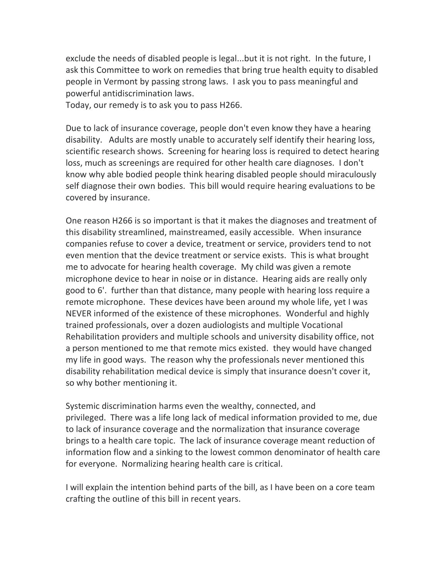exclude the needs of disabled people is legal...but it is not right. In the future, I ask this Committee to work on remedies that bring true health equity to disabled people in Vermont by passing strong laws. I ask you to pass meaningful and powerful antidiscrimination laws.

Today, our remedy is to ask you to pass H266.

Due to lack of insurance coverage, people don't even know they have a hearing disability. Adults are mostly unable to accurately self identify their hearing loss, scientific research shows. Screening for hearing loss is required to detect hearing loss, much as screenings are required for other health care diagnoses. I don't know why able bodied people think hearing disabled people should miraculously self diagnose their own bodies. This bill would require hearing evaluations to be covered by insurance.

One reason H266 is so important is that it makes the diagnoses and treatment of this disability streamlined, mainstreamed, easily accessible. When insurance companies refuse to cover a device, treatment or service, providers tend to not even mention that the device treatment or service exists. This is what brought me to advocate for hearing health coverage. My child was given a remote microphone device to hear in noise or in distance. Hearing aids are really only good to 6'. further than that distance, many people with hearing loss require a remote microphone. These devices have been around my whole life, yet I was NEVER informed of the existence of these microphones. Wonderful and highly trained professionals, over a dozen audiologists and multiple Vocational Rehabilitation providers and multiple schools and university disability office, not a person mentioned to me that remote mics existed. they would have changed my life in good ways. The reason why the professionals never mentioned this disability rehabilitation medical device is simply that insurance doesn't cover it, so why bother mentioning it.

Systemic discrimination harms even the wealthy, connected, and privileged. There was a life long lack of medical information provided to me, due to lack of insurance coverage and the normalization that insurance coverage brings to a health care topic. The lack of insurance coverage meant reduction of information flow and a sinking to the lowest common denominator of health care for everyone. Normalizing hearing health care is critical.

I will explain the intention behind parts of the bill, as I have been on a core team crafting the outline of this bill in recent years.